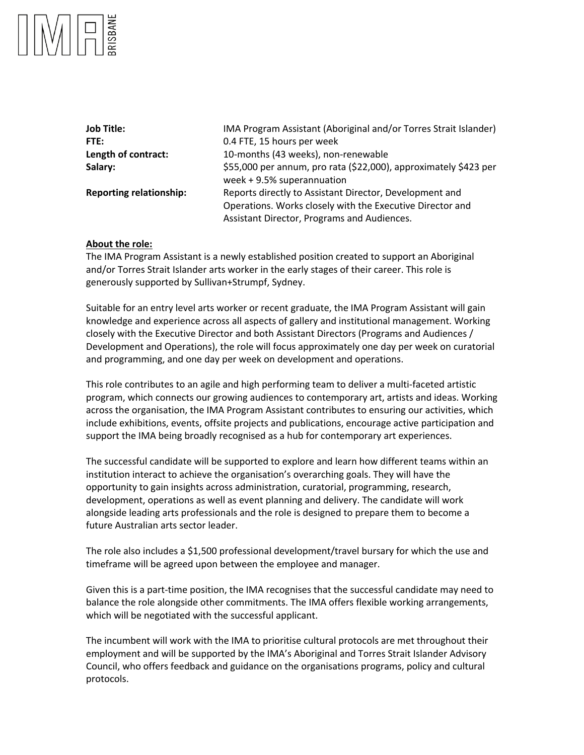| <b>Job Title:</b>              | IMA Program Assistant (Aboriginal and/or Torres Strait Islander)                                                                                                    |
|--------------------------------|---------------------------------------------------------------------------------------------------------------------------------------------------------------------|
| FTE:                           | 0.4 FTE, 15 hours per week                                                                                                                                          |
| Length of contract:            | 10-months (43 weeks), non-renewable                                                                                                                                 |
| Salary:                        | \$55,000 per annum, pro rata (\$22,000), approximately \$423 per<br>week + 9.5% superannuation                                                                      |
| <b>Reporting relationship:</b> | Reports directly to Assistant Director, Development and<br>Operations. Works closely with the Executive Director and<br>Assistant Director, Programs and Audiences. |

#### **About the role:**

The IMA Program Assistant is a newly established position created to support an Aboriginal and/or Torres Strait Islander arts worker in the early stages of their career. This role is generously supported by Sullivan+Strumpf, Sydney.

Suitable for an entry level arts worker or recent graduate, the IMA Program Assistant will gain knowledge and experience across all aspects of gallery and institutional management. Working closely with the Executive Director and both Assistant Directors (Programs and Audiences / Development and Operations), the role will focus approximately one day per week on curatorial and programming, and one day per week on development and operations.

This role contributes to an agile and high performing team to deliver a multi-faceted artistic program, which connects our growing audiences to contemporary art, artists and ideas. Working across the organisation, the IMA Program Assistant contributes to ensuring our activities, which include exhibitions, events, offsite projects and publications, encourage active participation and support the IMA being broadly recognised as a hub for contemporary art experiences.

The successful candidate will be supported to explore and learn how different teams within an institution interact to achieve the organisation's overarching goals. They will have the opportunity to gain insights across administration, curatorial, programming, research, development, operations as well as event planning and delivery. The candidate will work alongside leading arts professionals and the role is designed to prepare them to become a future Australian arts sector leader.

The role also includes a \$1,500 professional development/travel bursary for which the use and timeframe will be agreed upon between the employee and manager.

Given this is a part-time position, the IMA recognises that the successful candidate may need to balance the role alongside other commitments. The IMA offers flexible working arrangements, which will be negotiated with the successful applicant.

The incumbent will work with the IMA to prioritise cultural protocols are met throughout their employment and will be supported by the IMA's Aboriginal and Torres Strait Islander Advisory Council, who offers feedback and guidance on the organisations programs, policy and cultural protocols.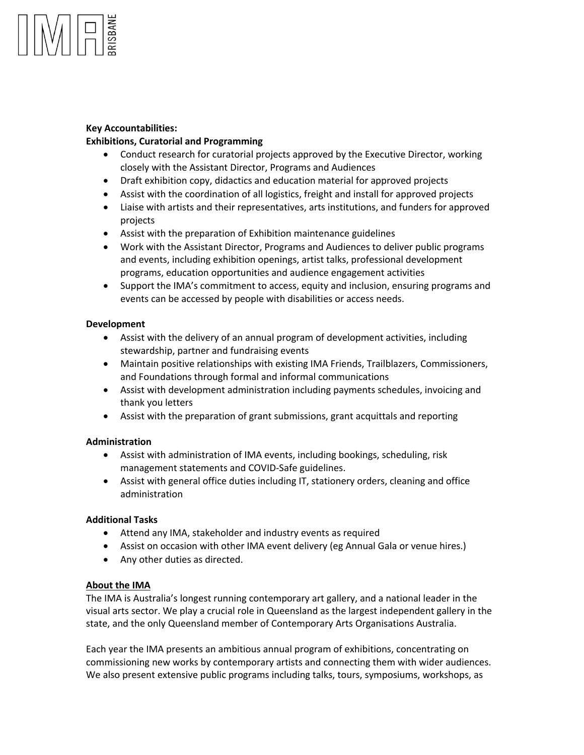# **Key Accountabilities:**

# **Exhibitions, Curatorial and Programming**

- Conduct research for curatorial projects approved by the Executive Director, working closely with the Assistant Director, Programs and Audiences
- Draft exhibition copy, didactics and education material for approved projects
- Assist with the coordination of all logistics, freight and install for approved projects
- Liaise with artists and their representatives, arts institutions, and funders for approved projects
- Assist with the preparation of Exhibition maintenance guidelines
- Work with the Assistant Director, Programs and Audiences to deliver public programs and events, including exhibition openings, artist talks, professional development programs, education opportunities and audience engagement activities
- Support the IMA's commitment to access, equity and inclusion, ensuring programs and events can be accessed by people with disabilities or access needs.

# **Development**

- Assist with the delivery of an annual program of development activities, including stewardship, partner and fundraising events
- Maintain positive relationships with existing IMA Friends, Trailblazers, Commissioners, and Foundations through formal and informal communications
- Assist with development administration including payments schedules, invoicing and thank you letters
- Assist with the preparation of grant submissions, grant acquittals and reporting

# **Administration**

- Assist with administration of IMA events, including bookings, scheduling, risk management statements and COVID-Safe guidelines.
- Assist with general office duties including IT, stationery orders, cleaning and office administration

# **Additional Tasks**

- Attend any IMA, stakeholder and industry events as required
- Assist on occasion with other IMA event delivery (eg Annual Gala or venue hires.)
- Any other duties as directed.

# **About the IMA**

The IMA is Australia's longest running contemporary art gallery, and a national leader in the visual arts sector. We play a crucial role in Queensland as the largest independent gallery in the state, and the only Queensland member of Contemporary Arts Organisations Australia.

Each year the IMA presents an ambitious annual program of exhibitions, concentrating on commissioning new works by contemporary artists and connecting them with wider audiences. We also present extensive public programs including talks, tours, symposiums, workshops, as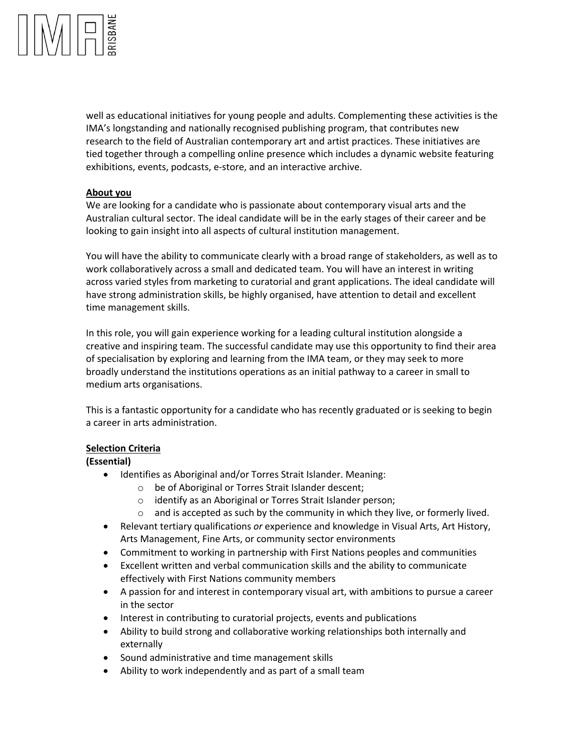

well as educational initiatives for young people and adults. Complementing these activities is the IMA's longstanding and nationally recognised publishing program, that contributes new research to the field of Australian contemporary art and artist practices. These initiatives are tied together through a compelling online presence which includes a dynamic website featuring exhibitions, events, podcasts, e-store, and an interactive archive.

#### **About you**

We are looking for a candidate who is passionate about contemporary visual arts and the Australian cultural sector. The ideal candidate will be in the early stages of their career and be looking to gain insight into all aspects of cultural institution management.

You will have the ability to communicate clearly with a broad range of stakeholders, as well as to work collaboratively across a small and dedicated team. You will have an interest in writing across varied styles from marketing to curatorial and grant applications. The ideal candidate will have strong administration skills, be highly organised, have attention to detail and excellent time management skills.

In this role, you will gain experience working for a leading cultural institution alongside a creative and inspiring team. The successful candidate may use this opportunity to find their area of specialisation by exploring and learning from the IMA team, or they may seek to more broadly understand the institutions operations as an initial pathway to a career in small to medium arts organisations.

This is a fantastic opportunity for a candidate who has recently graduated or is seeking to begin a career in arts administration.

#### **Selection Criteria**

#### **(Essential)**

- Identifies as Aboriginal and/or Torres Strait Islander. Meaning:
	- o be of Aboriginal or Torres Strait Islander descent;
	- o identify as an Aboriginal or Torres Strait Islander person;
	- $\circ$  and is accepted as such by the community in which they live, or formerly lived.
- Relevant tertiary qualifications *or* experience and knowledge in Visual Arts, Art History, Arts Management, Fine Arts, or community sector environments
- Commitment to working in partnership with First Nations peoples and communities
- Excellent written and verbal communication skills and the ability to communicate effectively with First Nations community members
- A passion for and interest in contemporary visual art, with ambitions to pursue a career in the sector
- Interest in contributing to curatorial projects, events and publications
- Ability to build strong and collaborative working relationships both internally and externally
- Sound administrative and time management skills
- Ability to work independently and as part of a small team